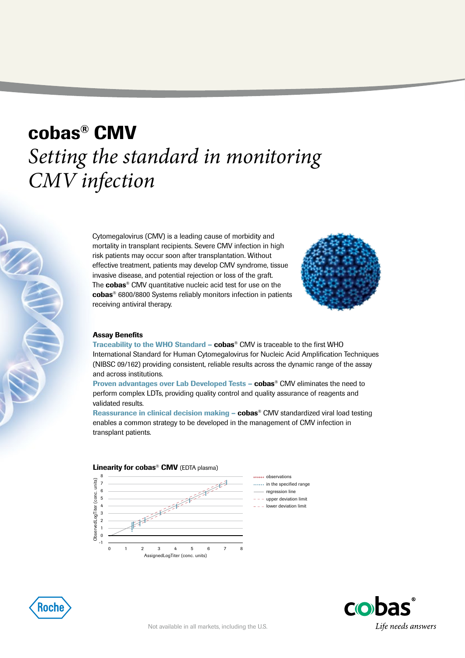# cobas® CMV *Setting the standard in monitoring CMV infection*

Cytomegalovirus (CMV) is a leading cause of morbidity and mortality in transplant recipients. Severe CMV infection in high risk patients may occur soon after transplantation. Without effective treatment, patients may develop CMV syndrome, tissue invasive disease, and potential rejection or loss of the graft. The **cobas<sup>®</sup>** CMV quantitative nucleic acid test for use on the cobas® 6800/8800 Systems reliably monitors infection in patients receiving antiviral therapy.



#### Assay Benefits

Traceability to the WHO Standard –  $\mathbf{cobs}^{\otimes}$  CMV is traceable to the first WHO International Standard for Human Cytomegalovirus for Nucleic Acid Amplification Techniques (NIBSC 09/162) providing consistent, reliable results across the dynamic range of the assay and across institutions.

Proven advantages over Lab Developed Tests – cobas® CMV eliminates the need to perform complex LDTs, providing quality control and quality assurance of reagents and validated results.

Reassurance in clinical decision making  $-$  cobas<sup>®</sup> CMV standardized viral load testing enables a common strategy to be developed in the management of CMV infection in transplant patients.